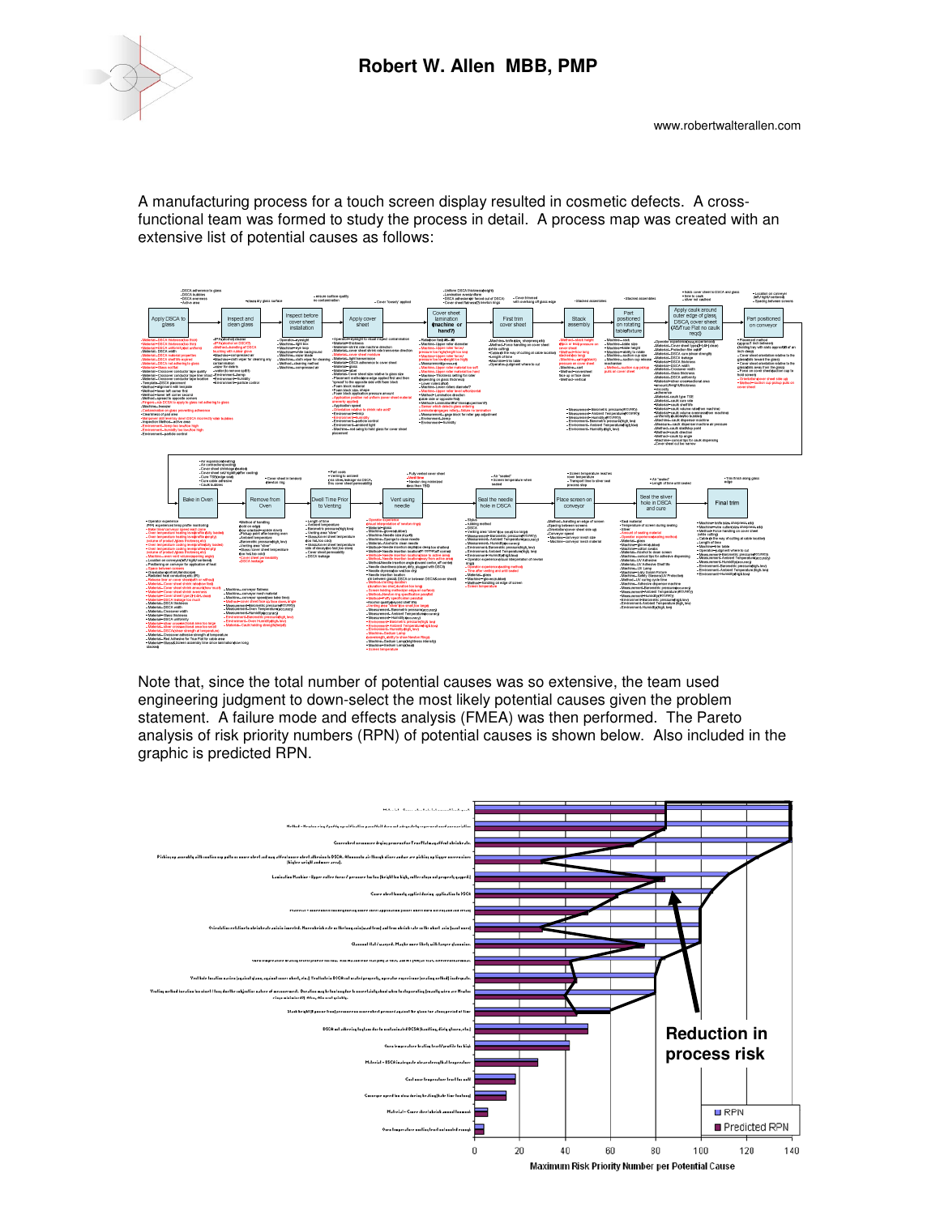



A manufacturing process for a touch screen display resulted in cosmetic defects. A crossfunctional team was formed to study the process in detail. A process map was created with an extensive list of potential causes as follows:



Note that, since the total number of potential causes was so extensive, the team used engineering judgment to down-select the most likely potential causes given the problem statement. A failure mode and effects analysis (FMEA) was then performed. The Pareto analysis of risk priority numbers (RPN) of potential causes is shown below. Also included in the graphic is predicted RPN.